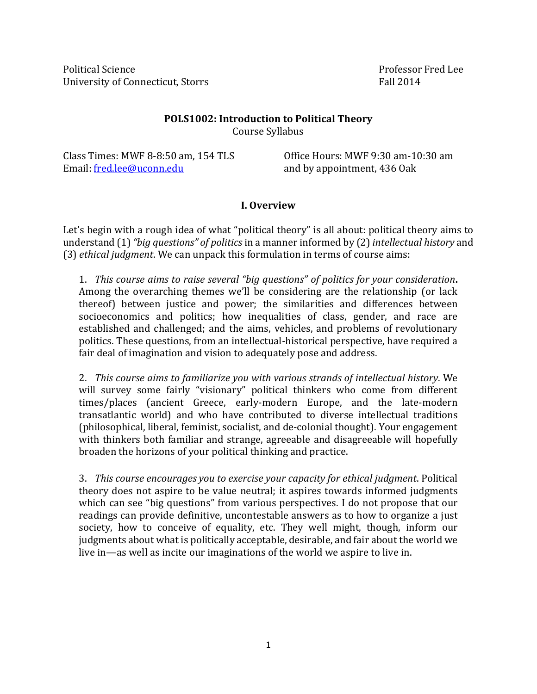Political Science **Professor Fred Lee** University of Connecticut, Storrs Fall 2014

### **POLS1002: Introduction to Political Theory** Course Syllabus

Class Times: MWF 8-8:50 am, 154 TLS Office Hours: MWF 9:30 am-10:30 am Email: [fred.lee@uconn.edu](mailto:fred.lee@uconn.edu) and by appointment, 436 Oak

#### **I. Overview**

Let's begin with a rough idea of what "political theory" is all about: political theory aims to understand (1) *"big questions" of politics* in a manner informed by (2) *intellectual history* and (3) *ethical judgment*. We can unpack this formulation in terms of course aims:

1. *This course aims to raise several "big questions" of politics for your consideration***.**  Among the overarching themes we'll be considering are the relationship (or lack thereof) between justice and power; the similarities and differences between socioeconomics and politics; how inequalities of class, gender, and race are established and challenged; and the aims, vehicles, and problems of revolutionary politics. These questions, from an intellectual-historical perspective, have required a fair deal of imagination and vision to adequately pose and address.

2. *This course aims to familiarize you with various strands of intellectual history*. We will survey some fairly "visionary" political thinkers who come from different times/places (ancient Greece, early-modern Europe, and the late-modern transatlantic world) and who have contributed to diverse intellectual traditions (philosophical, liberal, feminist, socialist, and de-colonial thought). Your engagement with thinkers both familiar and strange, agreeable and disagreeable will hopefully broaden the horizons of your political thinking and practice.

3. *This course encourages you to exercise your capacity for ethical judgment*. Political theory does not aspire to be value neutral; it aspires towards informed judgments which can see "big questions" from various perspectives. I do not propose that our readings can provide definitive, uncontestable answers as to how to organize a just society, how to conceive of equality, etc. They well might, though, inform our judgments about what is politically acceptable, desirable, and fair about the world we live in—as well as incite our imaginations of the world we aspire to live in.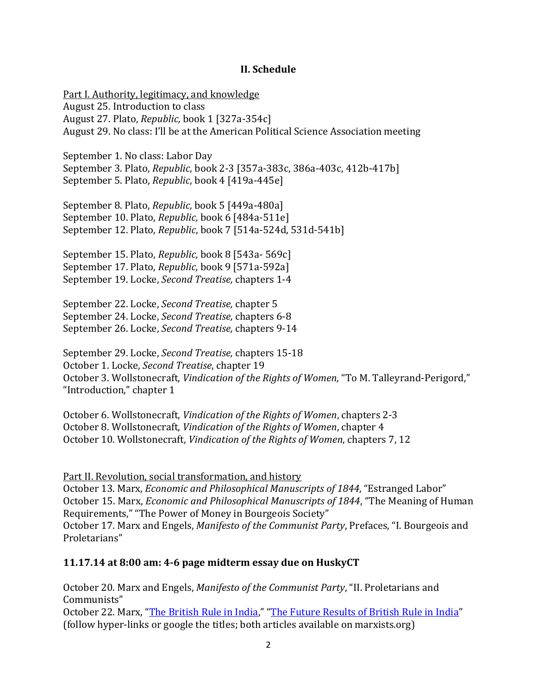#### **II. Schedule**

Part I. Authority, legitimacy, and knowledge August 25. Introduction to class August 27. Plato, *Republic,* book 1 [327a-354c] August 29. No class: I'll be at the American Political Science Association meeting

September 1. No class: Labor Day September 3. Plato, *Republic*, book 2-3 [357a-383c, 386a-403c, 412b-417b] September 5. Plato, *Republic*, book 4 [419a-445e]

September 8. Plato, *Republic,* book 5 [449a-480a] September 10. Plato, *Republic,* book 6 [484a-511e] September 12. Plato, *Republic*, book 7 [514a-524d, 531d-541b]

September 15. Plato, *Republic,* book 8 [543a- 569c] September 17. Plato, *Republic,* book 9 [571a-592a] September 19. Locke, *Second Treatise,* chapters 1-4

September 22. Locke, *Second Treatise,* chapter 5 September 24. Locke, *Second Treatise,* chapters 6-8 September 26. Locke, *Second Treatise,* chapters 9-14

September 29. Locke, *Second Treatise,* chapters 15-18 October 1. Locke, *Second Treatise*, chapter 19 October 3. Wollstonecraft, *Vindication of the Rights of Women,* "To M. Talleyrand-Perigord," "Introduction," chapter 1

October 6. Wollstonecraft, *Vindication of the Rights of Women*, chapters 2-3 October 8. Wollstonecraft, *Vindication of the Rights of Women*, chapter 4 October 10. Wollstonecraft, *Vindication of the Rights of Women*, chapters 7, 12

Part II. Revolution, social transformation, and history October 13. Marx, *Economic and Philosophical Manuscripts of 1844*, "Estranged Labor" October 15. Marx, *Economic and Philosophical Manuscripts of 1844*, "The Meaning of Human Requirements," "The Power of Money in Bourgeois Society" October 17. Marx and Engels, *Manifesto of the Communist Party*, Prefaces, "I. Bourgeois and Proletarians"

#### **11.17.14 at 8:00 am: 4-6 page midterm essay due on HuskyCT**

October 20. Marx and Engels, *Manifesto of the Communist Party*, "II. Proletarians and Communists" October 22. Marx, "[The British Rule in India](http://www.marxists.org/archive/marx/works/1853/06/25.htm)," "[The Future Results of British Rule in India](http://www.marxists.org/archive/marx/works/1853/07/22.htm)" (follow hyper-links or google the titles; both articles available on marxists.org)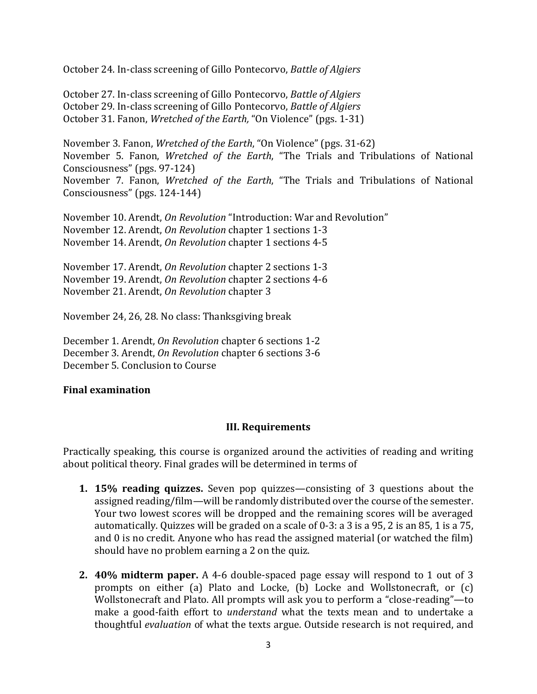October 24. In-class screening of Gillo Pontecorvo, *Battle of Algiers*

October 27. In-class screening of Gillo Pontecorvo, *Battle of Algiers* October 29. In-class screening of Gillo Pontecorvo, *Battle of Algiers* October 31. Fanon, *Wretched of the Earth,* "On Violence" (pgs. 1-31)

November 3. Fanon, *Wretched of the Earth*, "On Violence" (pgs. 31-62) November 5. Fanon, *Wretched of the Earth*, "The Trials and Tribulations of National Consciousness" (pgs. 97-124) November 7. Fanon, *Wretched of the Earth*, "The Trials and Tribulations of National Consciousness" (pgs. 124-144)

November 10. Arendt, *On Revolution* "Introduction: War and Revolution" November 12. Arendt, *On Revolution* chapter 1 sections 1-3 November 14. Arendt, *On Revolution* chapter 1 sections 4-5

November 17. Arendt, *On Revolution* chapter 2 sections 1-3 November 19. Arendt, *On Revolution* chapter 2 sections 4-6 November 21. Arendt, *On Revolution* chapter 3

November 24, 26, 28. No class: Thanksgiving break

December 1. Arendt, *On Revolution* chapter 6 sections 1-2 December 3. Arendt, *On Revolution* chapter 6 sections 3-6 December 5. Conclusion to Course

#### **Final examination**

#### **III. Requirements**

Practically speaking, this course is organized around the activities of reading and writing about political theory. Final grades will be determined in terms of

- **1. 15% reading quizzes.** Seven pop quizzes—consisting of 3 questions about the assigned reading/film—will be randomly distributed over the course of the semester. Your two lowest scores will be dropped and the remaining scores will be averaged automatically. Quizzes will be graded on a scale of 0-3: a 3 is a 95, 2 is an 85, 1 is a 75, and 0 is no credit. Anyone who has read the assigned material (or watched the film) should have no problem earning a 2 on the quiz.
- **2. 40% midterm paper.** A 4-6 double-spaced page essay will respond to 1 out of 3 prompts on either (a) Plato and Locke, (b) Locke and Wollstonecraft, or (c) Wollstonecraft and Plato. All prompts will ask you to perform a "close-reading"—to make a good-faith effort to *understand* what the texts mean and to undertake a thoughtful *evaluation* of what the texts argue. Outside research is not required, and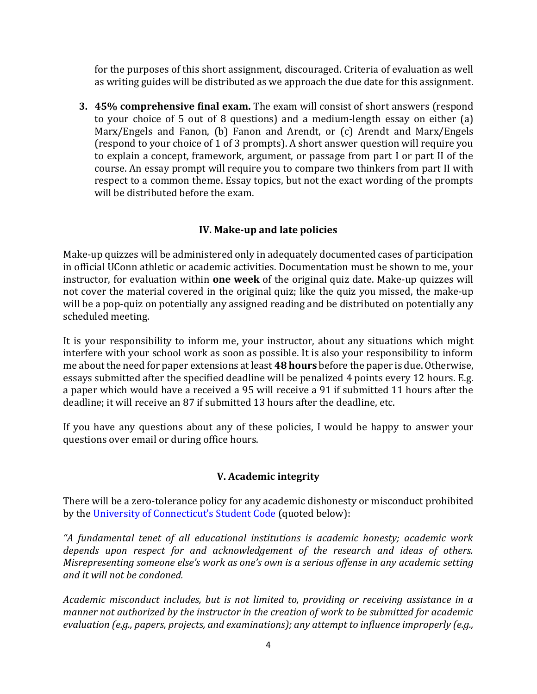for the purposes of this short assignment, discouraged. Criteria of evaluation as well as writing guides will be distributed as we approach the due date for this assignment.

**3. 45% comprehensive final exam.** The exam will consist of short answers (respond to your choice of 5 out of 8 questions) and a medium-length essay on either (a) Marx/Engels and Fanon, (b) Fanon and Arendt, or (c) Arendt and Marx/Engels (respond to your choice of 1 of 3 prompts). A short answer question will require you to explain a concept, framework, argument, or passage from part I or part II of the course. An essay prompt will require you to compare two thinkers from part II with respect to a common theme. Essay topics, but not the exact wording of the prompts will be distributed before the exam.

# **IV. Make-up and late policies**

Make-up quizzes will be administered only in adequately documented cases of participation in official UConn athletic or academic activities. Documentation must be shown to me, your instructor, for evaluation within **one week** of the original quiz date. Make-up quizzes will not cover the material covered in the original quiz; like the quiz you missed, the make-up will be a pop-quiz on potentially any assigned reading and be distributed on potentially any scheduled meeting.

It is your responsibility to inform me, your instructor, about any situations which might interfere with your school work as soon as possible. It is also your responsibility to inform me about the need for paper extensions at least **48 hours** before the paper is due. Otherwise, essays submitted after the specified deadline will be penalized 4 points every 12 hours. E.g. a paper which would have a received a 95 will receive a 91 if submitted 11 hours after the deadline; it will receive an 87 if submitted 13 hours after the deadline, etc.

If you have any questions about any of these policies, I would be happy to answer your questions over email or during office hours.

## **V. Academic integrity**

There will be a zero-tolerance policy for any academic dishonesty or misconduct prohibited by the [University of Connecticut's Student Code](http://www.community.uconn.edu/student_code.html) (quoted below):

*"A fundamental tenet of all educational institutions is academic honesty; academic work depends upon respect for and acknowledgement of the research and ideas of others. Misrepresenting someone else's work as one's own is a serious offense in any academic setting and it will not be condoned.*

*Academic misconduct includes, but is not limited to, providing or receiving assistance in a manner not authorized by the instructor in the creation of work to be submitted for academic evaluation (e.g., papers, projects, and examinations); any attempt to influence improperly (e.g.,*